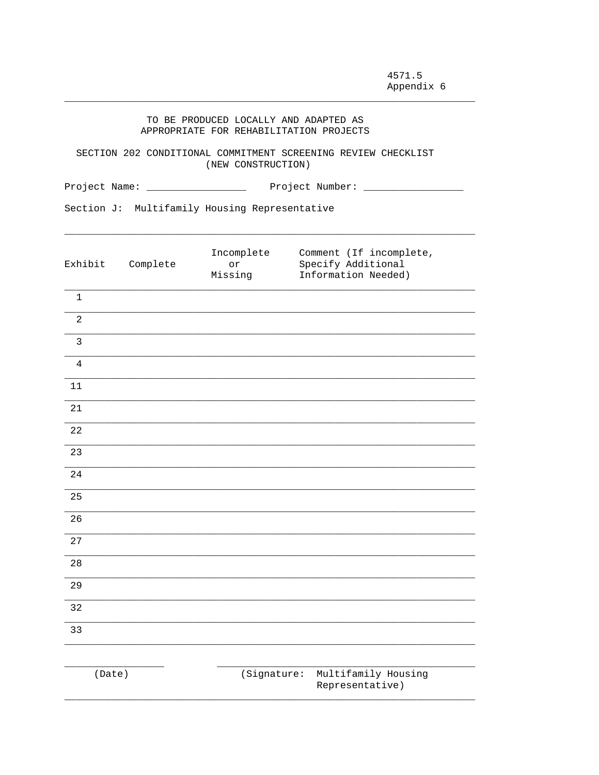| TO BE PRODUCED LOCALLY AND ADAPTED AS   |  |  |
|-----------------------------------------|--|--|
| APPROPRIATE FOR REHABILITATION PROJECTS |  |  |

SECTION 202 CONDITIONAL COMMITMENT SCREENING REVIEW CHECKLIST (NEW CONSTRUCTION)

Section J: Multifamily Housing Representative

| Exhibit        | Complete | Incomplete<br>or<br>Missing | Comment (If incomplete,<br>Specify Additional<br>Information Needed) |
|----------------|----------|-----------------------------|----------------------------------------------------------------------|
| $\mathbf{1}$   |          |                             |                                                                      |
| $\overline{2}$ |          |                             |                                                                      |
| $\mathbf{3}$   |          |                             |                                                                      |
| $\overline{4}$ |          |                             |                                                                      |
| $11\,$         |          |                             |                                                                      |
| 21             |          |                             |                                                                      |
| 22             |          |                             |                                                                      |
| 23             |          |                             |                                                                      |
| 24             |          |                             |                                                                      |
| 25             |          |                             |                                                                      |
| 26             |          |                             |                                                                      |
| 27             |          |                             |                                                                      |
| 28             |          |                             |                                                                      |
| 29             |          |                             |                                                                      |
| 32             |          |                             |                                                                      |
| 33             |          |                             |                                                                      |
|                |          |                             |                                                                      |
| (Date)         |          | (Signature:                 | Multifamily Housing<br>Representative)                               |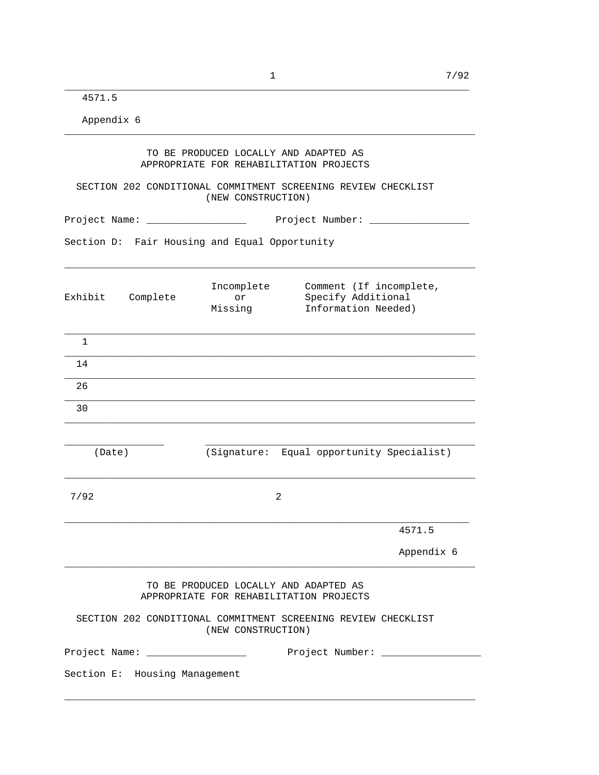\_\_\_\_\_\_\_\_\_\_\_\_\_\_\_\_\_\_\_\_\_\_\_\_\_\_\_\_\_\_\_\_\_\_\_\_\_\_\_\_\_\_\_\_\_\_\_\_\_\_\_\_\_\_\_\_\_\_\_\_\_\_\_\_\_\_\_\_\_

4571.5

Appendix 6

|                                                                                     |                               | TO BE PRODUCED LOCALLY AND ADAPTED AS<br>APPROPRIATE FOR REHABILITATION PROJECTS                       |                                                                      |            |
|-------------------------------------------------------------------------------------|-------------------------------|--------------------------------------------------------------------------------------------------------|----------------------------------------------------------------------|------------|
| SECTION 202 CONDITIONAL COMMITMENT SCREENING REVIEW CHECKLIST<br>(NEW CONSTRUCTION) |                               |                                                                                                        |                                                                      |            |
|                                                                                     |                               |                                                                                                        |                                                                      |            |
|                                                                                     |                               | Section D: Fair Housing and Equal Opportunity                                                          |                                                                      |            |
|                                                                                     | Exhibit Complete              | Incomplete<br>or<br>Missing                                                                            | Comment (If incomplete,<br>Specify Additional<br>Information Needed) |            |
| $\mathbf{1}$                                                                        |                               |                                                                                                        |                                                                      |            |
| 14                                                                                  |                               |                                                                                                        |                                                                      |            |
| 26                                                                                  |                               |                                                                                                        |                                                                      |            |
| 30                                                                                  |                               |                                                                                                        |                                                                      |            |
|                                                                                     |                               |                                                                                                        |                                                                      |            |
| (Date)                                                                              |                               |                                                                                                        | (Signature: Equal opportunity Specialist)                            |            |
| 7/92                                                                                |                               | 2                                                                                                      |                                                                      |            |
|                                                                                     |                               |                                                                                                        |                                                                      | 4571.5     |
|                                                                                     |                               |                                                                                                        |                                                                      | Appendix 6 |
|                                                                                     |                               | TO BE PRODUCED LOCALLY AND ADAPTED AS<br>APPROPRIATE FOR REHABILITATION PROJECTS<br>(NEW CONSTRUCTION) | SECTION 202 CONDITIONAL COMMITMENT SCREENING REVIEW CHECKLIST        |            |
|                                                                                     |                               | Project Name: _____________________                                                                    | Project Number: ___________________                                  |            |
|                                                                                     | Section E: Housing Management |                                                                                                        |                                                                      |            |
|                                                                                     |                               |                                                                                                        |                                                                      |            |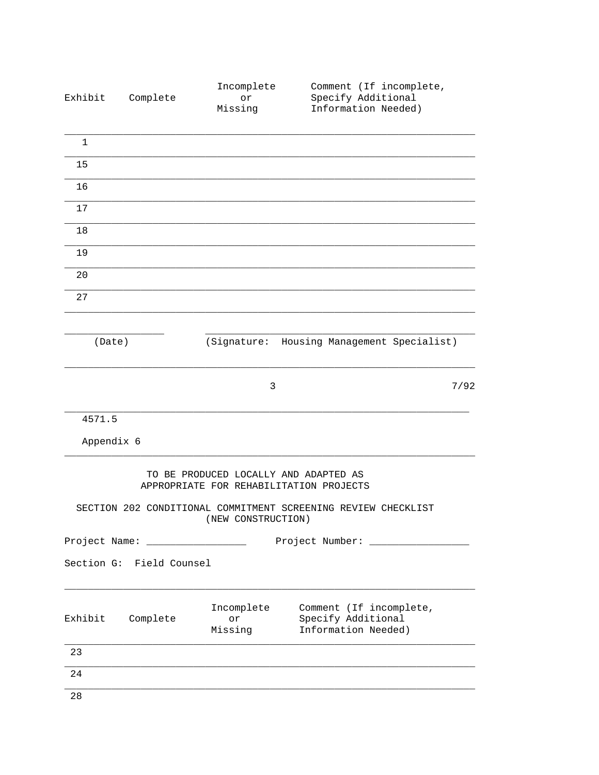| Exhibit              | Complete                            | Incomplete<br>or<br>Missing                                                      | Comment (If incomplete,<br>Specify Additional<br>Information Needed) |      |
|----------------------|-------------------------------------|----------------------------------------------------------------------------------|----------------------------------------------------------------------|------|
| $\mathbf{1}$         |                                     |                                                                                  |                                                                      |      |
| 15                   |                                     |                                                                                  |                                                                      |      |
| 16                   |                                     |                                                                                  |                                                                      |      |
| 17                   |                                     |                                                                                  |                                                                      |      |
| 18                   |                                     |                                                                                  |                                                                      |      |
| 19                   |                                     |                                                                                  |                                                                      |      |
| 20                   |                                     |                                                                                  |                                                                      |      |
| 27                   |                                     |                                                                                  |                                                                      |      |
| (Date)               |                                     | (Signature:                                                                      | Housing Management Specialist)                                       |      |
|                      |                                     | 3                                                                                |                                                                      | 7/92 |
| 4571.5<br>Appendix 6 |                                     |                                                                                  |                                                                      |      |
|                      |                                     |                                                                                  |                                                                      |      |
|                      |                                     | TO BE PRODUCED LOCALLY AND ADAPTED AS<br>APPROPRIATE FOR REHABILITATION PROJECTS |                                                                      |      |
|                      |                                     | (NEW CONSTRUCTION)                                                               | SECTION 202 CONDITIONAL COMMITMENT SCREENING REVIEW CHECKLIST        |      |
|                      | Project Name: _____________________ |                                                                                  | Project Number: ________________                                     |      |
|                      | Section G: Field Counsel            |                                                                                  |                                                                      |      |
| Exhibit              | Complete                            | Incomplete<br>or<br>Missing                                                      | Comment (If incomplete,<br>Specify Additional<br>Information Needed) |      |
| 23                   |                                     |                                                                                  |                                                                      |      |
| 24                   |                                     |                                                                                  |                                                                      |      |
| 28                   |                                     |                                                                                  |                                                                      |      |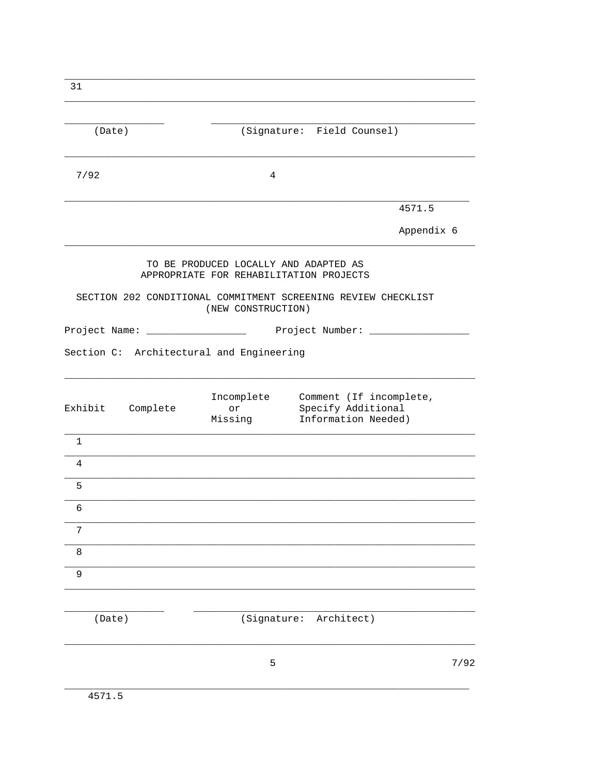| 31                                                            |                                                                                                        |                                                                                 |            |
|---------------------------------------------------------------|--------------------------------------------------------------------------------------------------------|---------------------------------------------------------------------------------|------------|
| (Date)                                                        |                                                                                                        | (Signature: Field Counsel)                                                      |            |
| 7/92                                                          | 4                                                                                                      |                                                                                 |            |
|                                                               |                                                                                                        |                                                                                 | 4571.5     |
|                                                               |                                                                                                        |                                                                                 | Appendix 6 |
| SECTION 202 CONDITIONAL COMMITMENT SCREENING REVIEW CHECKLIST | TO BE PRODUCED LOCALLY AND ADAPTED AS<br>APPROPRIATE FOR REHABILITATION PROJECTS<br>(NEW CONSTRUCTION) |                                                                                 |            |
| Project Name: _____________________                           |                                                                                                        | Project Number: ________________                                                |            |
| Section C: Architectural and Engineering                      |                                                                                                        |                                                                                 |            |
| Exhibit Complete                                              | or<br>Missing                                                                                          | Incomplete Comment (If incomplete,<br>Specify Additional<br>Information Needed) |            |
| $\mathbf{1}$                                                  |                                                                                                        |                                                                                 |            |
| 4                                                             |                                                                                                        |                                                                                 |            |
| 5                                                             |                                                                                                        |                                                                                 |            |
| 6                                                             |                                                                                                        |                                                                                 |            |
| 7                                                             |                                                                                                        |                                                                                 |            |
| $\,8\,$                                                       |                                                                                                        |                                                                                 |            |
| 9                                                             |                                                                                                        |                                                                                 |            |
| (Date)                                                        | (Signature:                                                                                            | Architect)                                                                      |            |
|                                                               | 5                                                                                                      |                                                                                 | 7/92       |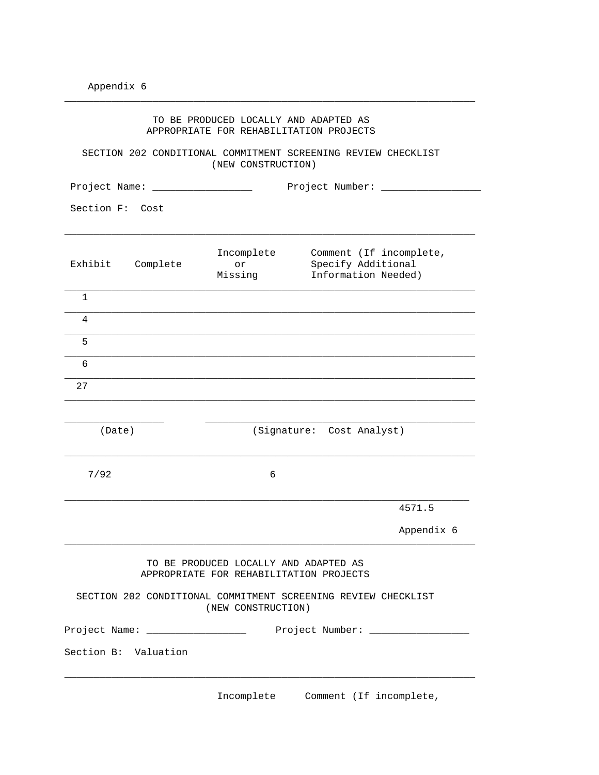|                      |                                         | TO BE PRODUCED LOCALLY AND ADAPTED AS<br>APPROPRIATE FOR REHABILITATION PROJECTS    |                                                                      |            |  |
|----------------------|-----------------------------------------|-------------------------------------------------------------------------------------|----------------------------------------------------------------------|------------|--|
|                      |                                         | SECTION 202 CONDITIONAL COMMITMENT SCREENING REVIEW CHECKLIST<br>(NEW CONSTRUCTION) |                                                                      |            |  |
|                      | Project Number: ______<br>Project Name: |                                                                                     |                                                                      |            |  |
| Section F:           | Cost                                    |                                                                                     |                                                                      |            |  |
| Exhibit              | Complete                                | Incomplete<br>or<br>Missing                                                         | Comment (If incomplete,<br>Specify Additional<br>Information Needed) |            |  |
| 1                    |                                         |                                                                                     |                                                                      |            |  |
| 4                    |                                         |                                                                                     |                                                                      |            |  |
| 5                    |                                         |                                                                                     |                                                                      |            |  |
| 6                    |                                         |                                                                                     |                                                                      |            |  |
| 27                   |                                         |                                                                                     |                                                                      |            |  |
| (Date)               |                                         |                                                                                     | (Signature: Cost Analyst)                                            |            |  |
| 7/92                 |                                         | 6                                                                                   |                                                                      |            |  |
|                      |                                         |                                                                                     |                                                                      | 4571.5     |  |
|                      |                                         |                                                                                     |                                                                      | Appendix 6 |  |
|                      |                                         | TO BE PRODUCED LOCALLY AND ADAPTED AS<br>APPROPRIATE FOR REHABILITATION PROJECTS    |                                                                      |            |  |
|                      |                                         | SECTION 202 CONDITIONAL COMMITMENT SCREENING REVIEW CHECKLIST<br>(NEW CONSTRUCTION) |                                                                      |            |  |
|                      |                                         | Project Name: ________________________ Project Number: _________________________    |                                                                      |            |  |
| Section B: Valuation |                                         |                                                                                     |                                                                      |            |  |
|                      |                                         |                                                                                     |                                                                      |            |  |

\_\_\_\_\_\_\_\_\_\_\_\_\_\_\_\_\_\_\_\_\_\_\_\_\_\_\_\_\_\_\_\_\_\_\_\_\_\_\_\_\_\_\_\_\_\_\_\_\_\_\_\_\_\_\_\_\_\_\_\_\_\_\_\_\_\_\_\_\_\_

Incomplete Comment (If incomplete,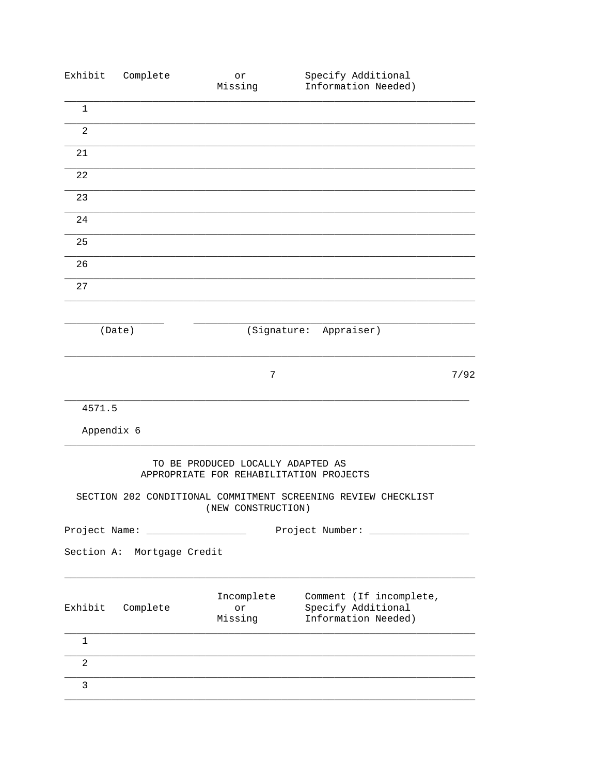| Exhibit        | Complete                   | or<br>Missing                                                                | Specify Additional<br>Information Needed)                            |      |
|----------------|----------------------------|------------------------------------------------------------------------------|----------------------------------------------------------------------|------|
| $\mathbf{1}$   |                            |                                                                              |                                                                      |      |
| $\overline{a}$ |                            |                                                                              |                                                                      |      |
| 21             |                            |                                                                              |                                                                      |      |
| 22             |                            |                                                                              |                                                                      |      |
| 23             |                            |                                                                              |                                                                      |      |
| 24             |                            |                                                                              |                                                                      |      |
| 25             |                            |                                                                              |                                                                      |      |
| 26             |                            |                                                                              |                                                                      |      |
| 27             |                            |                                                                              |                                                                      |      |
|                |                            |                                                                              |                                                                      |      |
|                | (Date)                     |                                                                              | (Signature: Appraiser)                                               |      |
|                |                            | 7                                                                            |                                                                      | 7/92 |
| 4571.5         |                            |                                                                              |                                                                      |      |
| Appendix 6     |                            |                                                                              |                                                                      |      |
|                |                            | TO BE PRODUCED LOCALLY ADAPTED AS<br>APPROPRIATE FOR REHABILITATION PROJECTS | SECTION 202 CONDITIONAL COMMITMENT SCREENING REVIEW CHECKLIST        |      |
|                |                            | (NEW CONSTRUCTION)                                                           |                                                                      |      |
| Project Name:  |                            |                                                                              | Project Number:                                                      |      |
|                | Section A: Mortgage Credit |                                                                              |                                                                      |      |
| Exhibit        | Complete                   | Incomplete<br>or<br>Missing                                                  | Comment (If incomplete,<br>Specify Additional<br>Information Needed) |      |
| $\mathbf 1$    |                            |                                                                              |                                                                      |      |
| $\overline{a}$ |                            |                                                                              |                                                                      |      |
| 3              |                            |                                                                              |                                                                      |      |
|                |                            |                                                                              |                                                                      |      |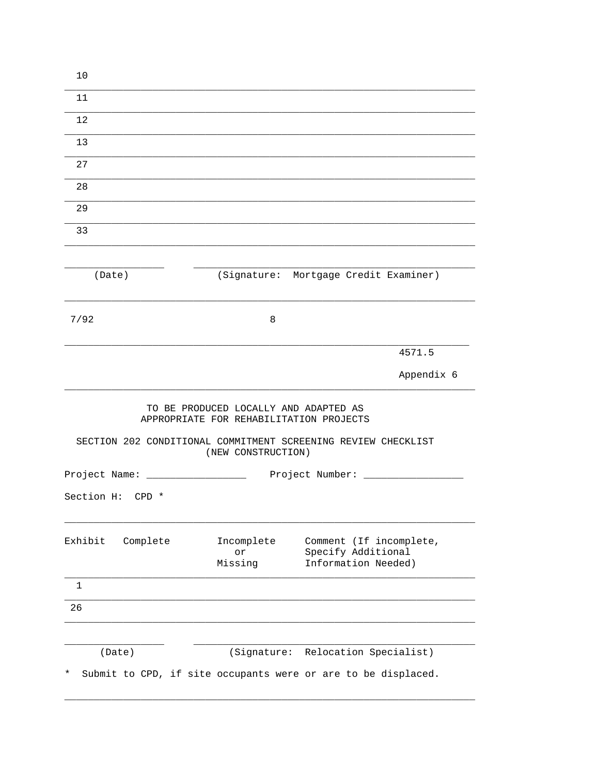| 10                                |                                                                                                        |                                                                      |
|-----------------------------------|--------------------------------------------------------------------------------------------------------|----------------------------------------------------------------------|
| 11                                |                                                                                                        |                                                                      |
| 12                                |                                                                                                        |                                                                      |
| 13                                |                                                                                                        |                                                                      |
| 27                                |                                                                                                        |                                                                      |
| 28                                |                                                                                                        |                                                                      |
| 29                                |                                                                                                        |                                                                      |
| 33                                |                                                                                                        |                                                                      |
|                                   |                                                                                                        |                                                                      |
| (Date)                            |                                                                                                        | (Signature: Mortgage Credit Examiner)                                |
| 7/92                              | 8                                                                                                      |                                                                      |
|                                   |                                                                                                        | 4571.5                                                               |
|                                   |                                                                                                        | Appendix 6                                                           |
|                                   | TO BE PRODUCED LOCALLY AND ADAPTED AS<br>APPROPRIATE FOR REHABILITATION PROJECTS<br>(NEW CONSTRUCTION) | SECTION 202 CONDITIONAL COMMITMENT SCREENING REVIEW CHECKLIST        |
| Project Name: ___________________ |                                                                                                        | Project Number: _____                                                |
| Section H: CPD *                  |                                                                                                        |                                                                      |
| Exhibit<br>Complete               | Incomplete<br>or<br>Missing                                                                            | Comment (If incomplete,<br>Specify Additional<br>Information Needed) |
| $\mathbf{1}$                      |                                                                                                        |                                                                      |
| 26                                |                                                                                                        |                                                                      |
| (Date)                            |                                                                                                        | (Signature: Relocation Specialist)                                   |
| *                                 |                                                                                                        | Submit to CPD, if site occupants were or are to be displaced.        |